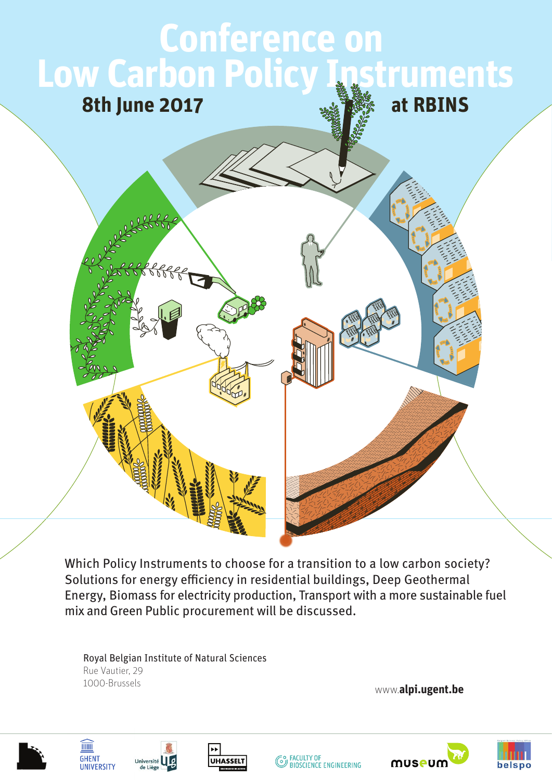## **Conference on Low Carbon Policy Instruments 8th June 2017 at RBINS**

Which Policy Instruments to choose for a transition to a low carbon society? Solutions for energy efficiency in residential buildings, Deep Geothermal Energy, Biomass for electricity production, Transport with a more sustainable fuel mix and Green Public procurement will be discussed.

Royal Belgian Institute of Natural Sciences Rue Vautier, 29 1000-Brussels

www.**alpi.ugent.be**





**TITTITI** 

**GHENT** 







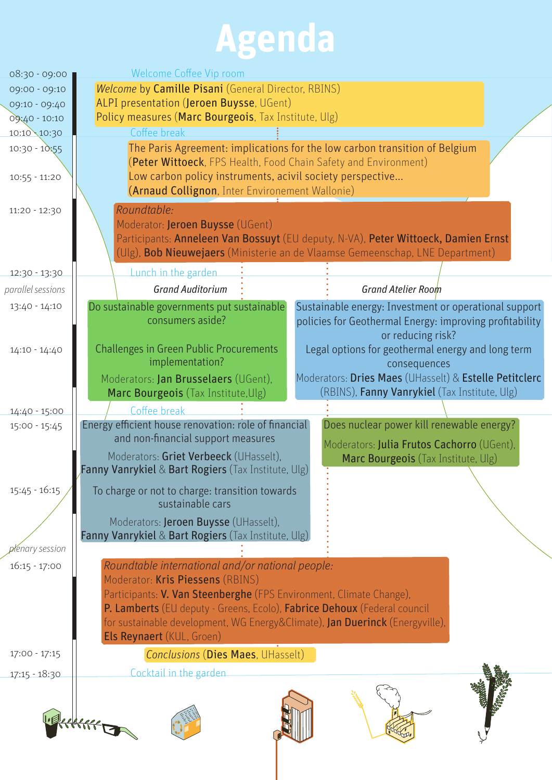# **Agenda**

| 08:30 - 09:00                      | Welcome Coffee Vip room                                                                                                                                                                                                                                                                                                                              |
|------------------------------------|------------------------------------------------------------------------------------------------------------------------------------------------------------------------------------------------------------------------------------------------------------------------------------------------------------------------------------------------------|
| 09:00 - 09:10                      | Welcome by Camille Pisani (General Director, RBINS)                                                                                                                                                                                                                                                                                                  |
| 09:10 - 09:40                      | ALPI presentation (Jeroen Buysse, UGent)                                                                                                                                                                                                                                                                                                             |
| 09:40 - 10:10                      | Policy measures (Marc Bourgeois, Tax Institute, Ulg)                                                                                                                                                                                                                                                                                                 |
| 10:10 10:30                        | Coffee break                                                                                                                                                                                                                                                                                                                                         |
| $10:30 - 10:55$<br>$10:55 - 11:20$ | The Paris Agreement: implications for the low carbon transition of Belgium<br>(Peter Wittoeck, FPS Health, Food Chain Safety and Environment)<br>Low carbon policy instruments, acivil society perspective                                                                                                                                           |
|                                    | (Arnaud Collignon, Inter Environement Wallonie)                                                                                                                                                                                                                                                                                                      |
| 11:20 - 12:30                      | Roundtable:<br>Moderator: Jeroen Buysse (UGent)<br>Participants: Anneleen Van Bossuyt (EU deputy, N-VA), Peter Wittoeck, Damien Ernst<br>(Ulg), Bob Nieuwejaers (Ministerie an de Vlaamse Gemeenschap, LNE Department)                                                                                                                               |
| 12:30 - 13:30                      | Lunch in the garden                                                                                                                                                                                                                                                                                                                                  |
| parallel sessions                  | <b>Grand Auditorium</b><br><b>Grand Atelier Room</b>                                                                                                                                                                                                                                                                                                 |
| 13:40 - 14:10                      | Do sustainable governments put sustainable<br>Sustainable energy: Investment or operational support<br>consumers aside?<br>policies for Geothermal Energy: improving profitability<br>or reducing risk?                                                                                                                                              |
| 14:10 - 14:40                      | <b>Challenges in Green Public Procurements</b><br>Legal options for geothermal energy and long term<br>implementation?<br>consequences                                                                                                                                                                                                               |
|                                    | Moderators: Dries Maes (UHasselt) & Estelle Petitclerc<br>Moderators: Jan Brusselaers (UGent),<br>(RBINS), Fanny Vanrykiel (Tax Institute, Ulg)<br>Marc Bourgeois (Tax Institute, Ulg)                                                                                                                                                               |
| 14:40 - 15:00                      | Coffee break                                                                                                                                                                                                                                                                                                                                         |
| $15:00 - 15:45$                    | Energy efficient house renovation: role of financial<br>Does nuclear power kill renewable energy?<br>and non-financial support measures<br>Moderators: Julia Frutos Cachorro (UGent),<br>Moderators: Griet Verbeeck (UHasselt),<br>Marc Bourgeois (Tax Institute, Ulg)<br>Fanny Vanrykiel & Bart Rogiers (Tax Institute, Ulg)                        |
| $15:45 - 16:15$                    | To charge or not to charge: transition towards<br>sustainable cars                                                                                                                                                                                                                                                                                   |
|                                    | Moderators: Jeroen Buysse (UHasselt),<br><b>Fanny Vanrykiel &amp; Bart Rogiers</b> (Tax Institute, Ulg)                                                                                                                                                                                                                                              |
| alenary session                    |                                                                                                                                                                                                                                                                                                                                                      |
| $16:15 - 17:00$                    | Roundtable international and/or national people:<br>Moderator: Kris Piessens (RBINS)<br>Participants: V. Van Steenberghe (FPS Environment, Climate Change),<br>P. Lamberts (EU deputy - Greens, Ecolo), Fabrice Dehoux (Federal council<br>for sustainable development, WG Energy&Climate), Jan Duerinck (Energyville),<br>Els Reynaert (KUL, Groen) |
| $17:00 - 17:15$                    | <b>Conclusions (Dies Maes, UHasselt)</b>                                                                                                                                                                                                                                                                                                             |
| 17:15 - 18:30                      | Cocktail in the garden                                                                                                                                                                                                                                                                                                                               |
|                                    |                                                                                                                                                                                                                                                                                                                                                      |